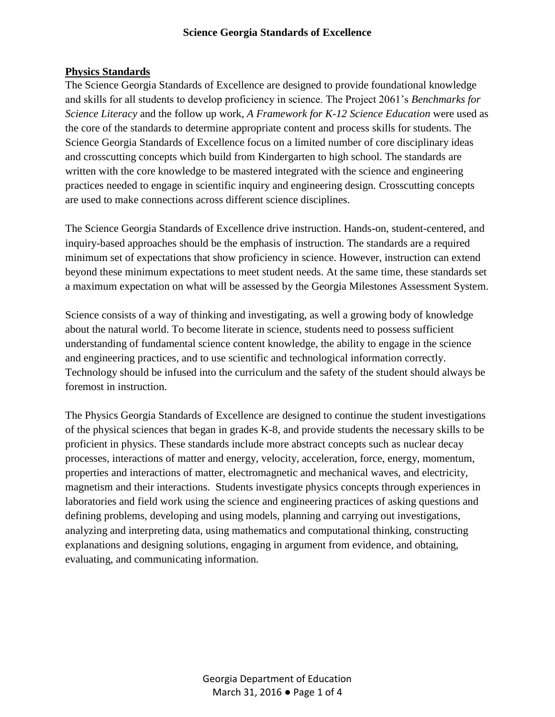#### **Science Georgia Standards of Excellence**

#### **Physics Standards**

The Science Georgia Standards of Excellence are designed to provide foundational knowledge and skills for all students to develop proficiency in science. The Project 2061's *Benchmarks for Science Literacy* and the follow up work, *A Framework for K-12 Science Education* were used as the core of the standards to determine appropriate content and process skills for students. The Science Georgia Standards of Excellence focus on a limited number of core disciplinary ideas and crosscutting concepts which build from Kindergarten to high school. The standards are written with the core knowledge to be mastered integrated with the science and engineering practices needed to engage in scientific inquiry and engineering design. Crosscutting concepts are used to make connections across different science disciplines.

The Science Georgia Standards of Excellence drive instruction. Hands-on, student-centered, and inquiry-based approaches should be the emphasis of instruction. The standards are a required minimum set of expectations that show proficiency in science. However, instruction can extend beyond these minimum expectations to meet student needs. At the same time, these standards set a maximum expectation on what will be assessed by the Georgia Milestones Assessment System.

Science consists of a way of thinking and investigating, as well a growing body of knowledge about the natural world. To become literate in science, students need to possess sufficient understanding of fundamental science content knowledge, the ability to engage in the science and engineering practices, and to use scientific and technological information correctly. Technology should be infused into the curriculum and the safety of the student should always be foremost in instruction.

The Physics Georgia Standards of Excellence are designed to continue the student investigations of the physical sciences that began in grades K-8, and provide students the necessary skills to be proficient in physics. These standards include more abstract concepts such as nuclear decay processes, interactions of matter and energy, velocity, acceleration, force, energy, momentum, properties and interactions of matter, electromagnetic and mechanical waves, and electricity, magnetism and their interactions. Students investigate physics concepts through experiences in laboratories and field work using the science and engineering practices of asking questions and defining problems, developing and using models, planning and carrying out investigations, analyzing and interpreting data, using mathematics and computational thinking, constructing explanations and designing solutions, engaging in argument from evidence, and obtaining, evaluating, and communicating information.

> Georgia Department of Education March 31, 2016 ● Page 1 of 4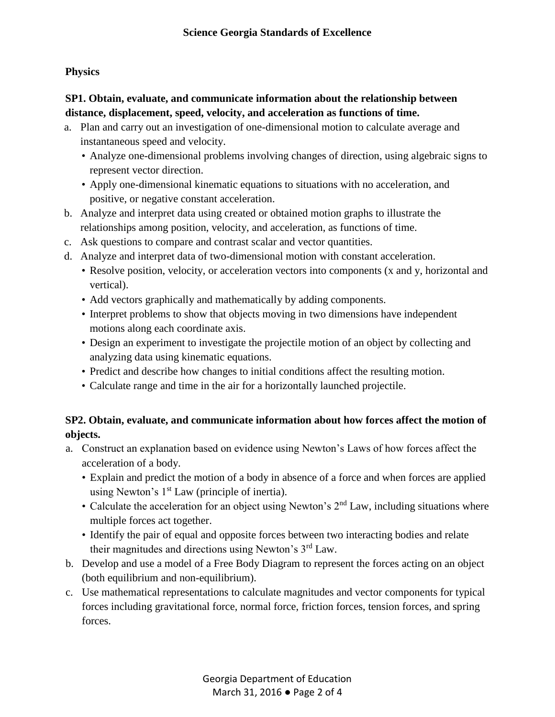#### **Physics**

## **SP1. Obtain, evaluate, and communicate information about the relationship between distance, displacement, speed, velocity, and acceleration as functions of time.**

- a. Plan and carry out an investigation of one-dimensional motion to calculate average and instantaneous speed and velocity.
	- Analyze one-dimensional problems involving changes of direction, using algebraic signs to represent vector direction.
	- Apply one-dimensional kinematic equations to situations with no acceleration, and positive, or negative constant acceleration.
- b. Analyze and interpret data using created or obtained motion graphs to illustrate the relationships among position, velocity, and acceleration, as functions of time.
- c. Ask questions to compare and contrast scalar and vector quantities.
- d. Analyze and interpret data of two-dimensional motion with constant acceleration.
	- Resolve position, velocity, or acceleration vectors into components (x and y, horizontal and vertical).
	- Add vectors graphically and mathematically by adding components.
	- Interpret problems to show that objects moving in two dimensions have independent motions along each coordinate axis.
	- Design an experiment to investigate the projectile motion of an object by collecting and analyzing data using kinematic equations.
	- Predict and describe how changes to initial conditions affect the resulting motion.
	- Calculate range and time in the air for a horizontally launched projectile.

# **SP2. Obtain, evaluate, and communicate information about how forces affect the motion of objects.**

- a. Construct an explanation based on evidence using Newton's Laws of how forces affect the acceleration of a body.
	- Explain and predict the motion of a body in absence of a force and when forces are applied using Newton's  $1<sup>st</sup>$  Law (principle of inertia).
	- Calculate the acceleration for an object using Newton's  $2<sup>nd</sup>$  Law, including situations where multiple forces act together.
	- Identify the pair of equal and opposite forces between two interacting bodies and relate their magnitudes and directions using Newton's 3rd Law.
- b. Develop and use a model of a Free Body Diagram to represent the forces acting on an object (both equilibrium and non-equilibrium).
- c. Use mathematical representations to calculate magnitudes and vector components for typical forces including gravitational force, normal force, friction forces, tension forces, and spring forces.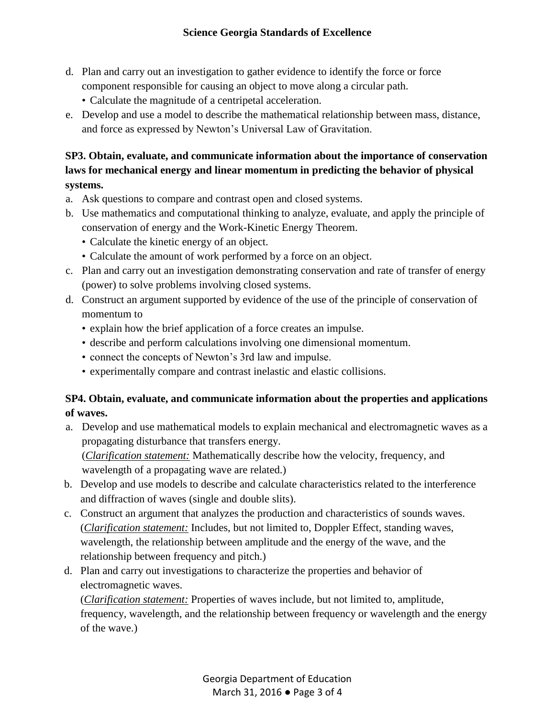- d. Plan and carry out an investigation to gather evidence to identify the force or force component responsible for causing an object to move along a circular path.
	- Calculate the magnitude of a centripetal acceleration.
- e. Develop and use a model to describe the mathematical relationship between mass, distance, and force as expressed by Newton's Universal Law of Gravitation.

# **SP3. Obtain, evaluate, and communicate information about the importance of conservation laws for mechanical energy and linear momentum in predicting the behavior of physical systems.**

- a. Ask questions to compare and contrast open and closed systems.
- b. Use mathematics and computational thinking to analyze, evaluate, and apply the principle of conservation of energy and the Work-Kinetic Energy Theorem.
	- Calculate the kinetic energy of an object.
	- Calculate the amount of work performed by a force on an object.
- c. Plan and carry out an investigation demonstrating conservation and rate of transfer of energy (power) to solve problems involving closed systems.
- d. Construct an argument supported by evidence of the use of the principle of conservation of momentum to
	- explain how the brief application of a force creates an impulse.
	- describe and perform calculations involving one dimensional momentum.
	- connect the concepts of Newton's 3rd law and impulse.
	- experimentally compare and contrast inelastic and elastic collisions.

## **SP4. Obtain, evaluate, and communicate information about the properties and applications of waves.**

a. Develop and use mathematical models to explain mechanical and electromagnetic waves as a propagating disturbance that transfers energy.

(*Clarification statement:* Mathematically describe how the velocity, frequency, and wavelength of a propagating wave are related.)

- b. Develop and use models to describe and calculate characteristics related to the interference and diffraction of waves (single and double slits).
- c. Construct an argument that analyzes the production and characteristics of sounds waves. (*Clarification statement:* Includes, but not limited to, Doppler Effect, standing waves, wavelength, the relationship between amplitude and the energy of the wave, and the relationship between frequency and pitch.)
- d. Plan and carry out investigations to characterize the properties and behavior of electromagnetic waves.

(*Clarification statement:* Properties of waves include, but not limited to, amplitude, frequency, wavelength, and the relationship between frequency or wavelength and the energy of the wave.)

> Georgia Department of Education March 31, 2016 ● Page 3 of 4